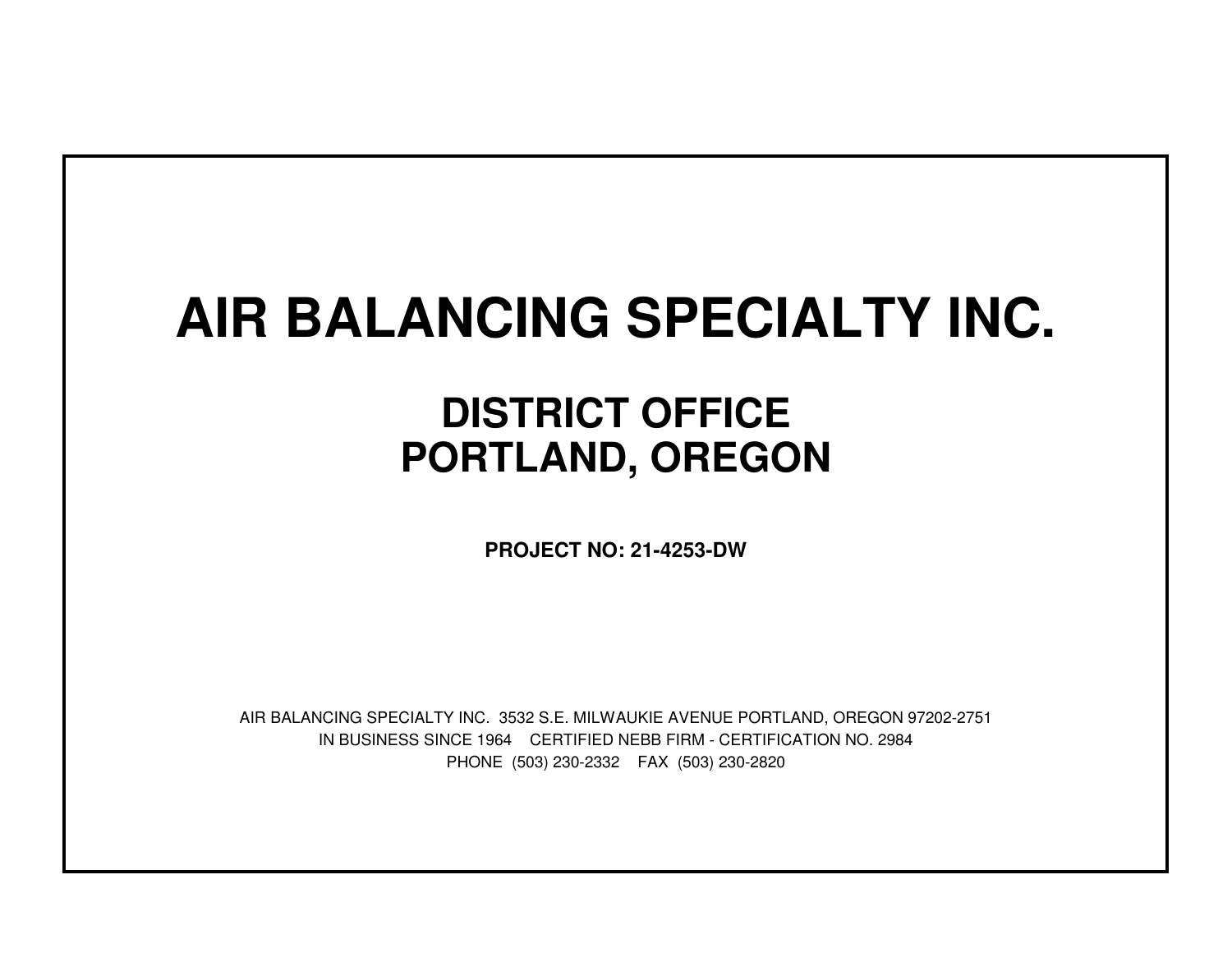# **AIR BALANCING SPECIALTY INC.**

## **DISTRICT OFFICEPORTLAND, OREGON**

**PROJECT NO: 21-4253-DW**

IN BUSINESS SINCE 1964 CERTIFIED NEBB FIRM - CERTIFICATION NO. 2984PHONE (503) 230-2332 FAX (503) 230-2820AIR BALANCING SPECIALTY INC. 3532 S.E. MILWAUKIE AVENUE PORTLAND, OREGON 97202-2751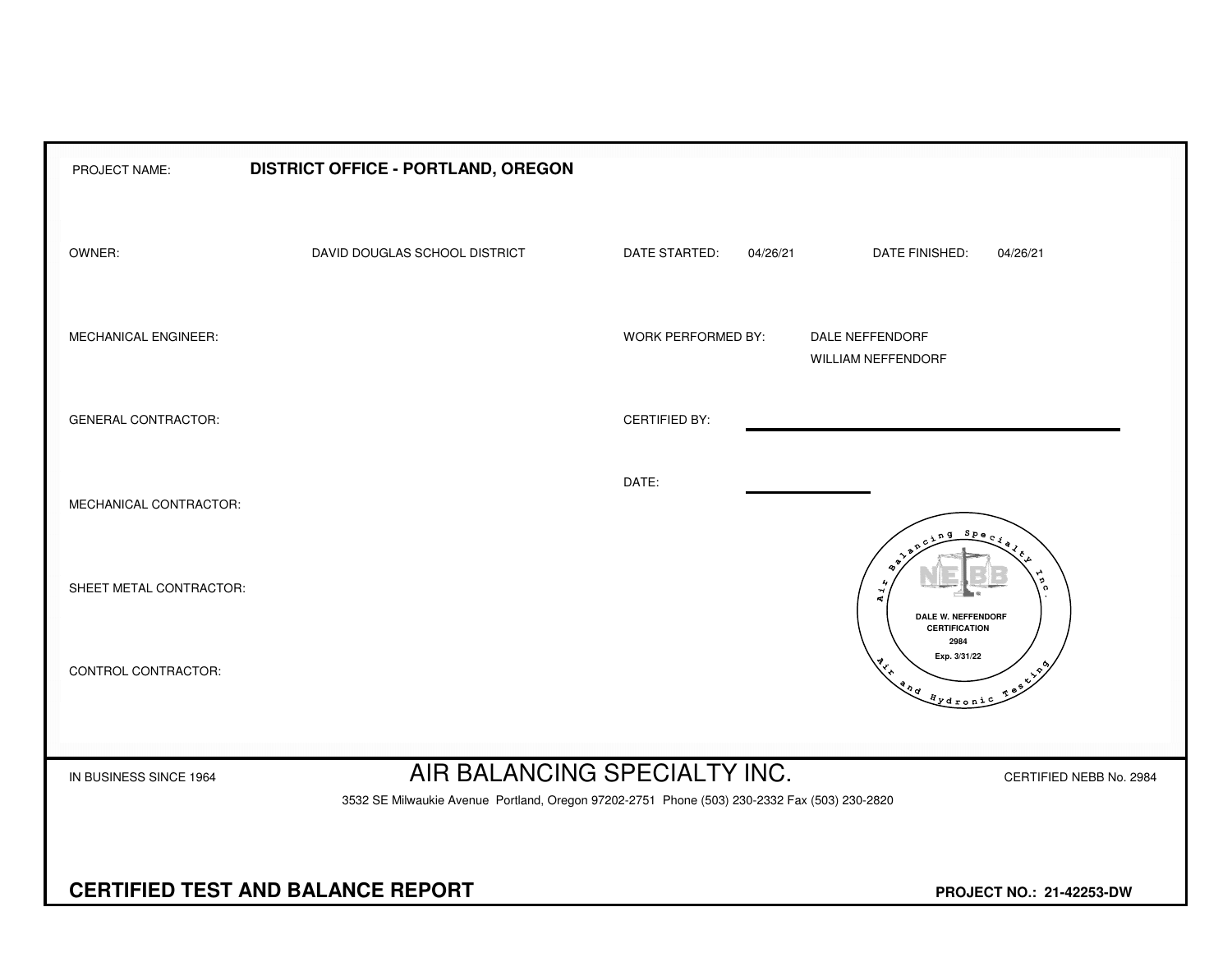| PROJECT NAME:                                                               | DISTRICT OFFICE - PORTLAND, OREGON                                                                                      |                      |                                                               |  |  |  |  |  |  |  |  |
|-----------------------------------------------------------------------------|-------------------------------------------------------------------------------------------------------------------------|----------------------|---------------------------------------------------------------|--|--|--|--|--|--|--|--|
| OWNER:                                                                      | DAVID DOUGLAS SCHOOL DISTRICT                                                                                           | DATE STARTED:        | DATE FINISHED:<br>04/26/21<br>04/26/21                        |  |  |  |  |  |  |  |  |
| MECHANICAL ENGINEER:                                                        |                                                                                                                         | WORK PERFORMED BY:   | DALE NEFFENDORF<br><b>WILLIAM NEFFENDORF</b>                  |  |  |  |  |  |  |  |  |
| <b>GENERAL CONTRACTOR:</b>                                                  |                                                                                                                         | <b>CERTIFIED BY:</b> |                                                               |  |  |  |  |  |  |  |  |
| MECHANICAL CONTRACTOR:                                                      |                                                                                                                         | DATE:                | $S_{PQ}$                                                      |  |  |  |  |  |  |  |  |
| SHEET METAL CONTRACTOR:                                                     |                                                                                                                         |                      | ิด<br>$\vec{A}$<br>DALE W. NEFFENDORF<br><b>CERTIFICATION</b> |  |  |  |  |  |  |  |  |
| CONTROL CONTRACTOR:                                                         |                                                                                                                         |                      | 2984<br>Exp. 3/31/22<br>Testing<br>and Aydronic               |  |  |  |  |  |  |  |  |
|                                                                             | AIR BALANCING SPECIALTY INC.                                                                                            |                      |                                                               |  |  |  |  |  |  |  |  |
| IN BUSINESS SINCE 1964                                                      | CERTIFIED NEBB No. 2984<br>3532 SE Milwaukie Avenue Portland, Oregon 97202-2751 Phone (503) 230-2332 Fax (503) 230-2820 |                      |                                                               |  |  |  |  |  |  |  |  |
|                                                                             |                                                                                                                         |                      |                                                               |  |  |  |  |  |  |  |  |
| <b>CERTIFIED TEST AND BALANCE REPORT</b><br><b>PROJECT NO.: 21-42253-DW</b> |                                                                                                                         |                      |                                                               |  |  |  |  |  |  |  |  |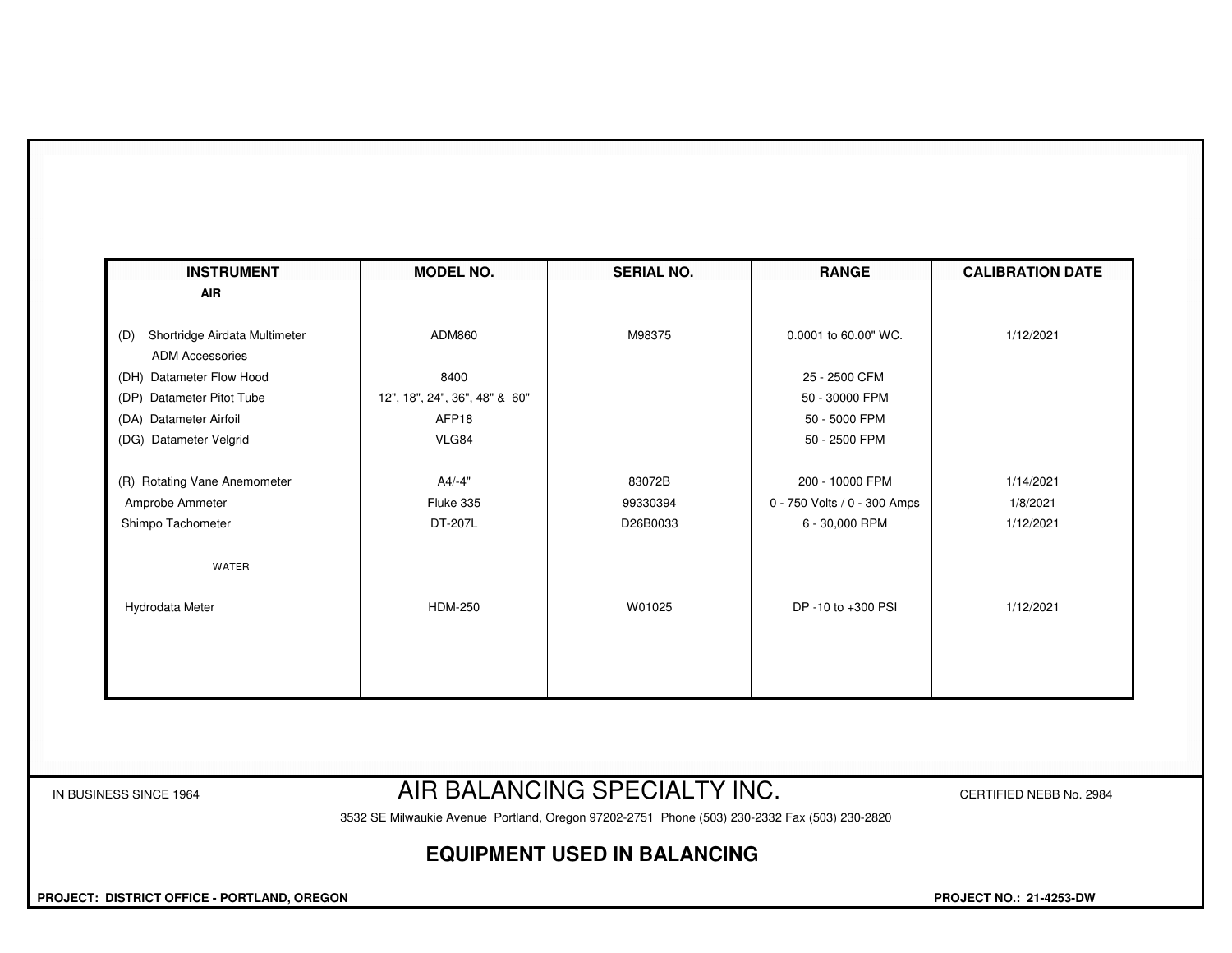| <b>INSTRUMENT</b>                    | <b>MODEL NO.</b>              | <b>SERIAL NO.</b> | <b>RANGE</b>                 | <b>CALIBRATION DATE</b> |
|--------------------------------------|-------------------------------|-------------------|------------------------------|-------------------------|
| <b>AIR</b>                           |                               |                   |                              |                         |
| Shortridge Airdata Multimeter<br>(D) | ADM860                        | M98375            | 0.0001 to 60.00" WC.         | 1/12/2021               |
| <b>ADM Accessories</b>               |                               |                   |                              |                         |
| (DH) Datameter Flow Hood             | 8400                          |                   | 25 - 2500 CFM                |                         |
| (DP) Datameter Pitot Tube            | 12", 18", 24", 36", 48" & 60" |                   | 50 - 30000 FPM               |                         |
| (DA) Datameter Airfoil               | AFP18                         |                   | 50 - 5000 FPM                |                         |
| (DG) Datameter Velgrid               | VLG84                         |                   | 50 - 2500 FPM                |                         |
| (R) Rotating Vane Anemometer         | $A4/-4"$                      | 83072B            | 200 - 10000 FPM              | 1/14/2021               |
| Amprobe Ammeter                      | Fluke 335                     | 99330394          | 0 - 750 Volts / 0 - 300 Amps | 1/8/2021                |
| Shimpo Tachometer                    | DT-207L                       | D26B0033          | 6 - 30,000 RPM               | 1/12/2021               |
| WATER                                |                               |                   |                              |                         |
| Hydrodata Meter                      | <b>HDM-250</b>                | W01025            | DP -10 to +300 PSI           | 1/12/2021               |
|                                      |                               |                   |                              |                         |
|                                      |                               |                   |                              |                         |
|                                      |                               |                   |                              |                         |
|                                      |                               |                   |                              |                         |

### IN BUSINESS SINCE 1964 **AIR BALANCING SPECIALTY INC.** CERTIFIED NEBB No. 2984

3532 SE Milwaukie Avenue Portland, Oregon 97202-2751 Phone (503) 230-2332 Fax (503) 230-2820

#### **EQUIPMENT USED IN BALANCING**

 **PROJECT: DISTRICT OFFICE - PORTLAND, OREGON PROJECT NO.: 21-4253-DW**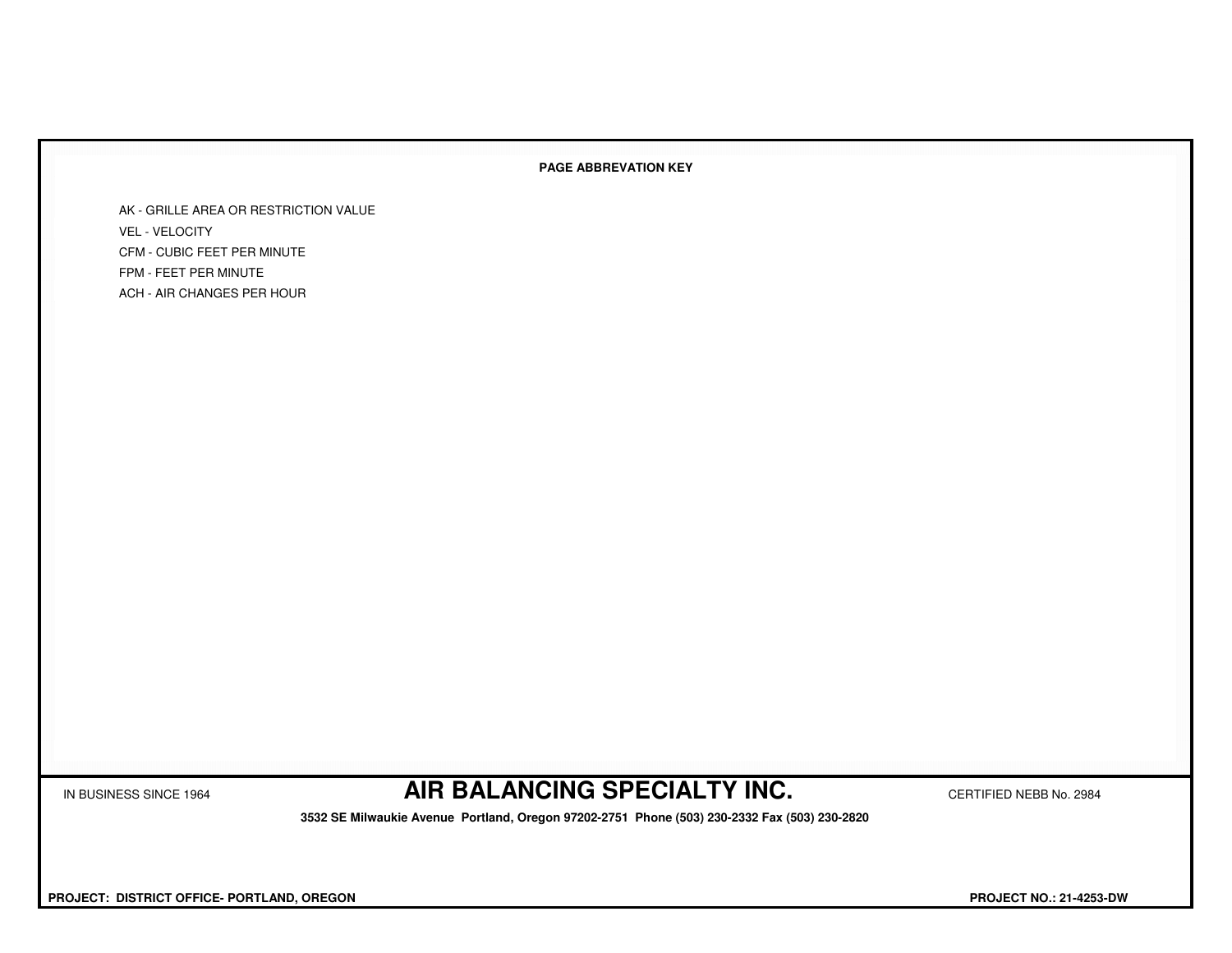#### **PAGE ABBREVATION KEY**

AK - GRILLE AREA OR RESTRICTION VALUEVEL - VELOCITY CFM - CUBIC FEET PER MINUTEFPM - FEET PER MINUTEACH - AIR CHANGES PER HOUR

IN BUSINESS SINCE 1964 **AIR BALANCING SPECIALTY INC.** CERTIFIED NEBB No. 2984

 **3532 SE Milwaukie Avenue Portland, Oregon 97202-2751 Phone (503) 230-2332 Fax (503) 230-2820**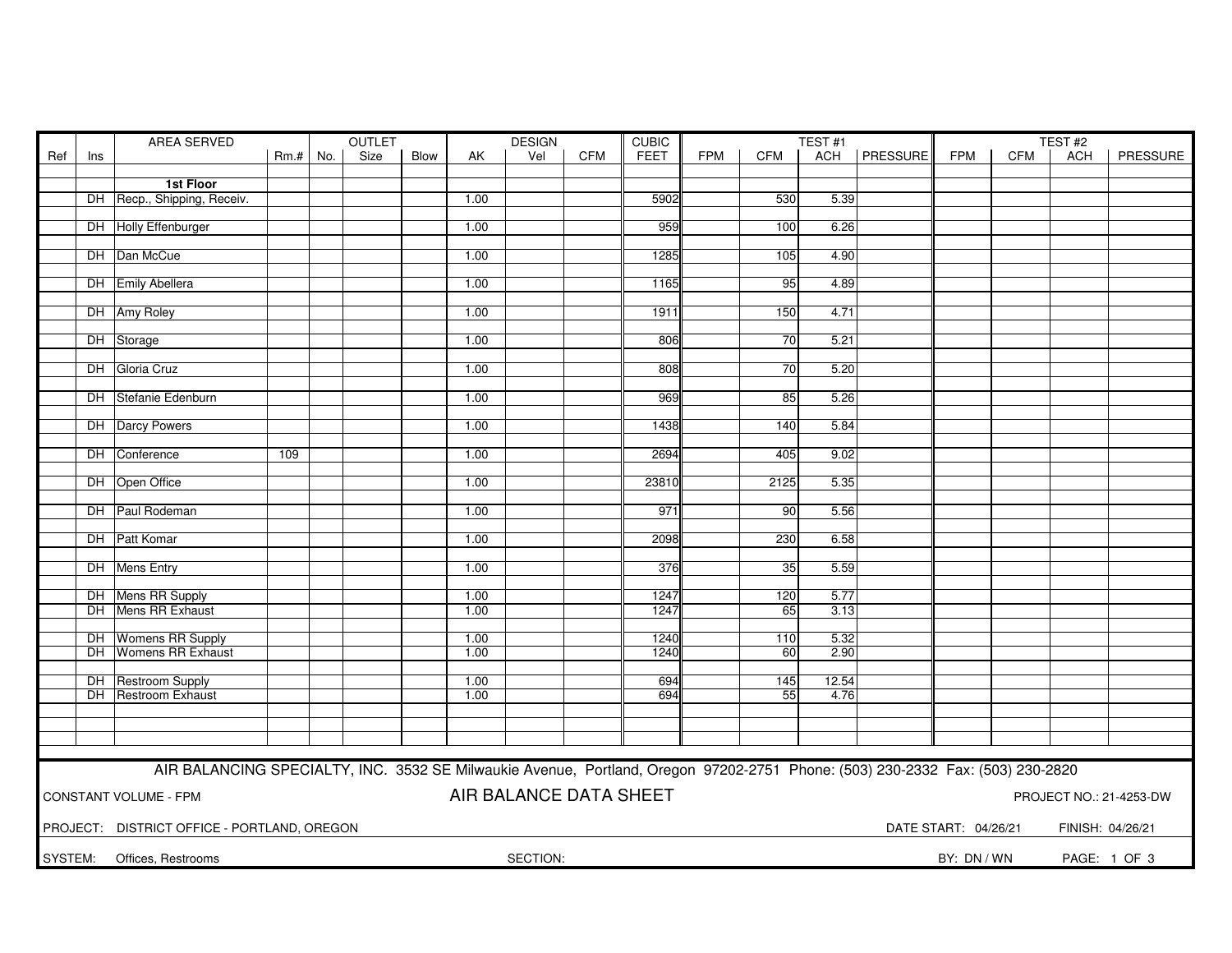|     |     | AREA SERVED                                                                                                                   | <b>OUTLET</b><br><b>DESIGN</b><br><b>CUBIC</b> |  |      |      | TEST#1 |                        |            |             | TEST#2     |                 |       |                |                      |            |                  |                         |
|-----|-----|-------------------------------------------------------------------------------------------------------------------------------|------------------------------------------------|--|------|------|--------|------------------------|------------|-------------|------------|-----------------|-------|----------------|----------------------|------------|------------------|-------------------------|
| Ref | Ins |                                                                                                                               | $Rm.+No.$                                      |  | Size | Blow | AK     | Vel                    | <b>CFM</b> | <b>FEET</b> | <b>FPM</b> | <b>CFM</b>      |       | ACH   PRESSURE | <b>FPM</b>           | <b>CFM</b> | <b>ACH</b>       | PRESSURE                |
|     |     |                                                                                                                               |                                                |  |      |      |        |                        |            |             |            |                 |       |                |                      |            |                  |                         |
|     |     | 1st Floor                                                                                                                     |                                                |  |      |      |        |                        |            |             |            |                 |       |                |                      |            |                  |                         |
|     |     | DH Recp., Shipping, Receiv.                                                                                                   |                                                |  |      |      | 1.00   |                        |            | 5902        |            | 530             | 5.39  |                |                      |            |                  |                         |
|     |     |                                                                                                                               |                                                |  |      |      |        |                        |            |             |            |                 |       |                |                      |            |                  |                         |
|     |     | DH Holly Effenburger                                                                                                          |                                                |  |      |      | 1.00   |                        |            | 959         |            | 100             | 6.26  |                |                      |            |                  |                         |
|     |     |                                                                                                                               |                                                |  |      |      |        |                        |            |             |            |                 |       |                |                      |            |                  |                         |
|     |     | DH Dan McCue                                                                                                                  |                                                |  |      |      | 1.00   |                        |            | 1285        |            | 105             | 4.90  |                |                      |            |                  |                         |
|     |     | DH Emily Abellera                                                                                                             |                                                |  |      |      |        |                        |            |             |            |                 |       |                |                      |            |                  |                         |
|     |     |                                                                                                                               |                                                |  |      |      | 1.00   |                        |            | 1165        |            | 95              | 4.89  |                |                      |            |                  |                         |
|     |     | DH Amy Roley                                                                                                                  |                                                |  |      |      | 1.00   |                        |            | 1911        |            | 150             | 4.71  |                |                      |            |                  |                         |
|     |     |                                                                                                                               |                                                |  |      |      |        |                        |            |             |            |                 |       |                |                      |            |                  |                         |
|     |     | DH Storage                                                                                                                    |                                                |  |      |      | 1.00   |                        |            | 806         |            | 70              | 5.21  |                |                      |            |                  |                         |
|     |     |                                                                                                                               |                                                |  |      |      |        |                        |            |             |            |                 |       |                |                      |            |                  |                         |
|     |     | DH Gloria Cruz                                                                                                                |                                                |  |      |      | 1.00   |                        |            | 808         |            | 70              | 5.20  |                |                      |            |                  |                         |
|     |     |                                                                                                                               |                                                |  |      |      |        |                        |            |             |            |                 |       |                |                      |            |                  |                         |
|     |     | DH Stefanie Edenburn                                                                                                          |                                                |  |      |      | 1.00   |                        |            | 969         |            | 85              | 5.26  |                |                      |            |                  |                         |
|     |     |                                                                                                                               |                                                |  |      |      |        |                        |            |             |            |                 |       |                |                      |            |                  |                         |
|     |     | DH Darcy Powers                                                                                                               |                                                |  |      |      | 1.00   |                        |            | 1438        |            | 140             | 5.84  |                |                      |            |                  |                         |
|     |     |                                                                                                                               |                                                |  |      |      |        |                        |            |             |            |                 |       |                |                      |            |                  |                         |
|     |     | DH Conference                                                                                                                 | 109                                            |  |      |      | 1.00   |                        |            | 2694        |            | 405             | 9.02  |                |                      |            |                  |                         |
|     |     |                                                                                                                               |                                                |  |      |      |        |                        |            |             |            |                 |       |                |                      |            |                  |                         |
|     |     | DH Open Office                                                                                                                |                                                |  |      |      | 1.00   |                        |            | 23810       |            | 2125            | 5.35  |                |                      |            |                  |                         |
|     |     |                                                                                                                               |                                                |  |      |      |        |                        |            |             |            |                 |       |                |                      |            |                  |                         |
|     |     | DH Paul Rodeman                                                                                                               |                                                |  |      |      | 1.00   |                        |            | 971         |            | $\overline{90}$ | 5.56  |                |                      |            |                  |                         |
|     |     |                                                                                                                               |                                                |  |      |      |        |                        |            |             |            |                 |       |                |                      |            |                  |                         |
|     |     | DH Patt Komar                                                                                                                 |                                                |  |      |      | 1.00   |                        |            | 2098        |            | 230             | 6.58  |                |                      |            |                  |                         |
|     |     | DH Mens Entry                                                                                                                 |                                                |  |      |      | 1.00   |                        |            | 376         |            | 35              | 5.59  |                |                      |            |                  |                         |
|     |     |                                                                                                                               |                                                |  |      |      |        |                        |            |             |            |                 |       |                |                      |            |                  |                         |
|     |     | DH Mens RR Supply                                                                                                             |                                                |  |      |      | 1.00   |                        |            | 1247        |            | 120             | 5.77  |                |                      |            |                  |                         |
|     |     | DH Mens RR Exhaust                                                                                                            |                                                |  |      |      | 1.00   |                        |            | 1247        |            | 65              | 3.13  |                |                      |            |                  |                         |
|     |     |                                                                                                                               |                                                |  |      |      |        |                        |            |             |            |                 |       |                |                      |            |                  |                         |
|     |     | <b>DH</b> Womens RR Supply                                                                                                    |                                                |  |      |      | 1.00   |                        |            | 1240        |            | 110             | 5.32  |                |                      |            |                  |                         |
|     |     | DH Womens RR Exhaust                                                                                                          |                                                |  |      |      | 1.00   |                        |            | 1240        |            | 60              | 2.90  |                |                      |            |                  |                         |
|     |     |                                                                                                                               |                                                |  |      |      |        |                        |            |             |            |                 |       |                |                      |            |                  |                         |
|     |     | DH Restroom Supply                                                                                                            |                                                |  |      |      | 1.00   |                        |            | 694         |            | 145             | 12.54 |                |                      |            |                  |                         |
|     |     | <b>DH</b> Restroom Exhaust                                                                                                    |                                                |  |      |      | 1.00   |                        |            | 694         |            | 55              | 4.76  |                |                      |            |                  |                         |
|     |     |                                                                                                                               |                                                |  |      |      |        |                        |            |             |            |                 |       |                |                      |            |                  |                         |
|     |     |                                                                                                                               |                                                |  |      |      |        |                        |            |             |            |                 |       |                |                      |            |                  |                         |
|     |     |                                                                                                                               |                                                |  |      |      |        |                        |            |             |            |                 |       |                |                      |            |                  |                         |
|     |     |                                                                                                                               |                                                |  |      |      |        |                        |            |             |            |                 |       |                |                      |            |                  |                         |
|     |     | AIR BALANCING SPECIALTY, INC. 3532 SE Milwaukie Avenue, Portland, Oregon 97202-2751 Phone: (503) 230-2332 Fax: (503) 230-2820 |                                                |  |      |      |        |                        |            |             |            |                 |       |                |                      |            |                  |                         |
|     |     |                                                                                                                               |                                                |  |      |      |        |                        |            |             |            |                 |       |                |                      |            |                  |                         |
|     |     | <b>CONSTANT VOLUME - FPM</b>                                                                                                  |                                                |  |      |      |        | AIR BALANCE DATA SHEET |            |             |            |                 |       |                |                      |            |                  | PROJECT NO.: 21-4253-DW |
|     |     |                                                                                                                               |                                                |  |      |      |        |                        |            |             |            |                 |       |                |                      |            |                  |                         |
|     |     | PROJECT: DISTRICT OFFICE - PORTLAND, OREGON                                                                                   |                                                |  |      |      |        |                        |            |             |            |                 |       |                | DATE START: 04/26/21 |            | FINISH: 04/26/21 |                         |
|     |     |                                                                                                                               |                                                |  |      |      |        |                        |            |             |            |                 |       |                |                      |            |                  |                         |
|     |     | SYSTEM: Offices, Restrooms                                                                                                    |                                                |  |      |      |        | SECTION:               |            |             |            |                 |       |                | BY: DN / WN          |            |                  | PAGE: 1 OF 3            |
|     |     |                                                                                                                               |                                                |  |      |      |        |                        |            |             |            |                 |       |                |                      |            |                  |                         |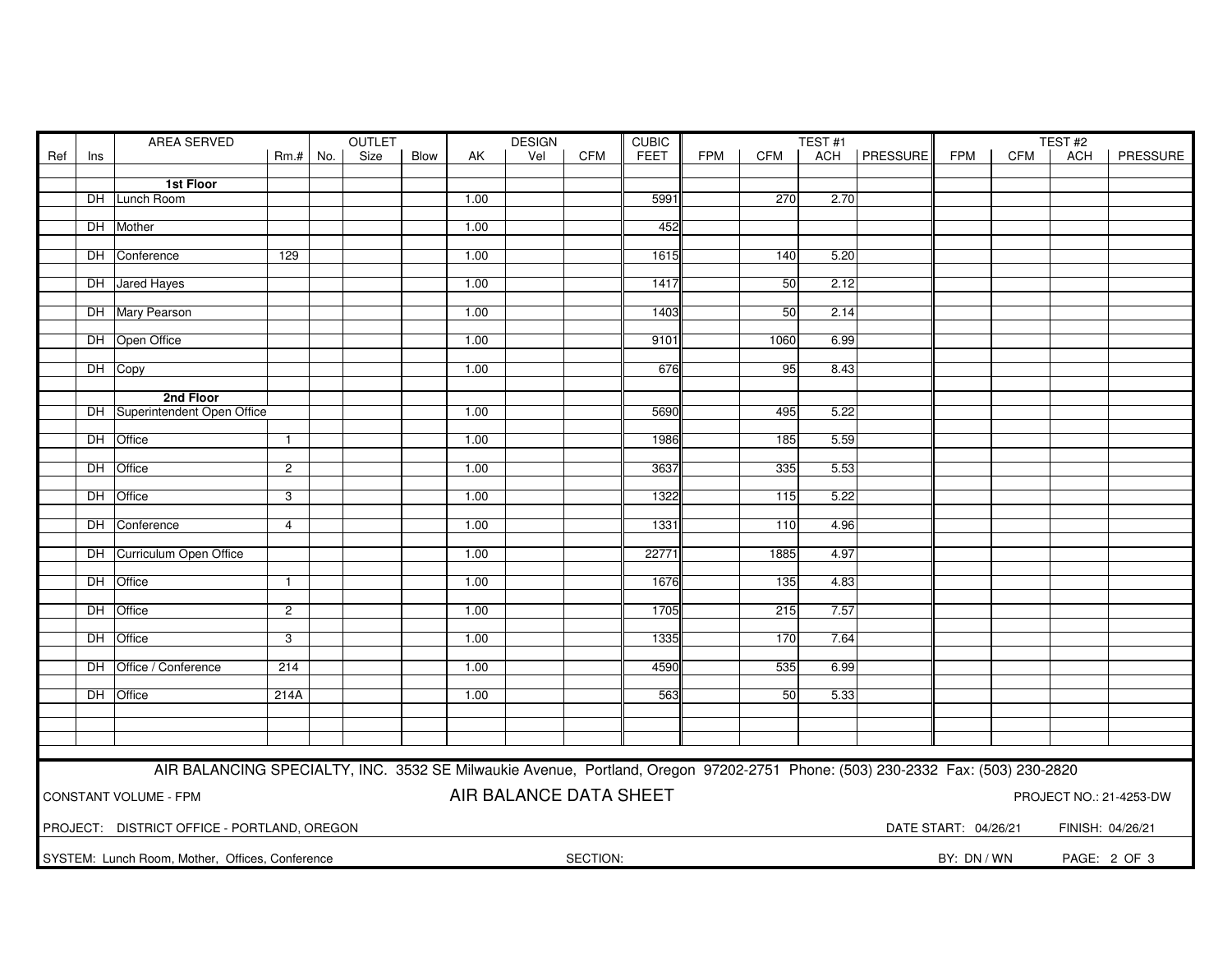|     |     | AREA SERVED                                                                                                                   | <b>OUTLET</b>  |  |      |      | <b>DESIGN</b> |                        |            | <b>CUBIC</b> |            |      | TEST <sub>#1</sub> |                |                      |     | TEST#2           |                         |  |
|-----|-----|-------------------------------------------------------------------------------------------------------------------------------|----------------|--|------|------|---------------|------------------------|------------|--------------|------------|------|--------------------|----------------|----------------------|-----|------------------|-------------------------|--|
| Ref | Ins |                                                                                                                               | Rm.#   No.     |  | Size | Blow | AK            | Vel                    | <b>CFM</b> | <b>FEET</b>  | <b>FPM</b> | CFM  |                    | ACH   PRESSURE | FPM                  | CFM | ACH              | PRESSURE                |  |
|     |     |                                                                                                                               |                |  |      |      |               |                        |            |              |            |      |                    |                |                      |     |                  |                         |  |
|     |     | 1st Floor                                                                                                                     |                |  |      |      |               |                        |            |              |            |      |                    |                |                      |     |                  |                         |  |
|     |     | DH Lunch Room                                                                                                                 |                |  |      |      | 1.00          |                        |            | 5991         |            | 270  | 2.70               |                |                      |     |                  |                         |  |
|     |     | DH Mother                                                                                                                     |                |  |      |      | 1.00          |                        |            | 452          |            |      |                    |                |                      |     |                  |                         |  |
|     |     |                                                                                                                               |                |  |      |      |               |                        |            |              |            |      |                    |                |                      |     |                  |                         |  |
|     |     | DH Conference                                                                                                                 | 129            |  |      |      | 1.00          |                        |            | 1615         |            | 140  | 5.20               |                |                      |     |                  |                         |  |
|     |     |                                                                                                                               |                |  |      |      |               |                        |            |              |            |      |                    |                |                      |     |                  |                         |  |
|     |     | DH Jared Hayes                                                                                                                |                |  |      |      | 1.00          |                        |            | 1417         |            | 50   | 2.12               |                |                      |     |                  |                         |  |
|     |     |                                                                                                                               |                |  |      |      |               |                        |            |              |            |      |                    |                |                      |     |                  |                         |  |
|     |     | DH Mary Pearson                                                                                                               |                |  |      |      | 1.00          |                        |            | 1403         |            | 50   | 2.14               |                |                      |     |                  |                         |  |
|     |     |                                                                                                                               |                |  |      |      |               |                        |            |              |            |      |                    |                |                      |     |                  |                         |  |
|     |     | DH Open Office                                                                                                                |                |  |      |      | 1.00          |                        |            | 9101         |            | 1060 | 6.99               |                |                      |     |                  |                         |  |
|     |     |                                                                                                                               |                |  |      |      |               |                        |            |              |            |      |                    |                |                      |     |                  |                         |  |
|     |     | DH Copy                                                                                                                       |                |  |      |      | 1.00          |                        |            | 676          |            | 95   | 8.43               |                |                      |     |                  |                         |  |
|     |     | 2nd Floor                                                                                                                     |                |  |      |      |               |                        |            |              |            |      |                    |                |                      |     |                  |                         |  |
|     |     | DH Superintendent Open Office                                                                                                 |                |  |      |      | 1.00          |                        |            | 5690         |            | 495  | 5.22               |                |                      |     |                  |                         |  |
|     |     |                                                                                                                               |                |  |      |      |               |                        |            |              |            |      |                    |                |                      |     |                  |                         |  |
|     |     | DH Office                                                                                                                     | $\mathbf{1}$   |  |      |      | 1.00          |                        |            | 1986         |            | 185  | 5.59               |                |                      |     |                  |                         |  |
|     |     |                                                                                                                               |                |  |      |      |               |                        |            |              |            |      |                    |                |                      |     |                  |                         |  |
|     |     | DH Office                                                                                                                     | $\overline{2}$ |  |      |      | 1.00          |                        |            | 3637         |            | 335  | 5.53               |                |                      |     |                  |                         |  |
|     |     |                                                                                                                               |                |  |      |      |               |                        |            |              |            |      |                    |                |                      |     |                  |                         |  |
|     |     | DH Office                                                                                                                     | 3              |  |      |      | 1.00          |                        |            | 1322         |            | 115  | 5.22               |                |                      |     |                  |                         |  |
|     |     |                                                                                                                               |                |  |      |      |               |                        |            |              |            |      |                    |                |                      |     |                  |                         |  |
|     |     | DH Conference                                                                                                                 | $\overline{4}$ |  |      |      | 1.00          |                        |            | 1331         |            | 110  | 4.96               |                |                      |     |                  |                         |  |
|     |     | DH Curriculum Open Office                                                                                                     |                |  |      |      | 1.00          |                        |            | 22771        |            | 1885 | 4.97               |                |                      |     |                  |                         |  |
|     |     |                                                                                                                               |                |  |      |      |               |                        |            |              |            |      |                    |                |                      |     |                  |                         |  |
|     |     | DH Office                                                                                                                     | $\mathbf{1}$   |  |      |      | 1.00          |                        |            | 1676         |            | 135  | 4.83               |                |                      |     |                  |                         |  |
|     |     |                                                                                                                               |                |  |      |      |               |                        |            |              |            |      |                    |                |                      |     |                  |                         |  |
|     |     | DH Office                                                                                                                     | $\overline{2}$ |  |      |      | 1.00          |                        |            | 1705         |            | 215  | 7.57               |                |                      |     |                  |                         |  |
|     |     |                                                                                                                               |                |  |      |      |               |                        |            |              |            |      |                    |                |                      |     |                  |                         |  |
|     |     | DH Office                                                                                                                     | 3              |  |      |      | 1.00          |                        |            | 1335         |            | 170  | 7.64               |                |                      |     |                  |                         |  |
|     |     |                                                                                                                               |                |  |      |      |               |                        |            |              |            |      |                    |                |                      |     |                  |                         |  |
|     |     | DH Office / Conference                                                                                                        | 214            |  |      |      | 1.00          |                        |            | 4590         |            | 535  | 6.99               |                |                      |     |                  |                         |  |
|     |     | DH Office                                                                                                                     | 214A           |  |      |      | 1.00          |                        |            | 563          |            | 50   | 5.33               |                |                      |     |                  |                         |  |
|     |     |                                                                                                                               |                |  |      |      |               |                        |            |              |            |      |                    |                |                      |     |                  |                         |  |
|     |     |                                                                                                                               |                |  |      |      |               |                        |            |              |            |      |                    |                |                      |     |                  |                         |  |
|     |     |                                                                                                                               |                |  |      |      |               |                        |            |              |            |      |                    |                |                      |     |                  |                         |  |
|     |     |                                                                                                                               |                |  |      |      |               |                        |            |              |            |      |                    |                |                      |     |                  |                         |  |
|     |     | AIR BALANCING SPECIALTY, INC. 3532 SE Milwaukie Avenue, Portland, Oregon 97202-2751 Phone: (503) 230-2332 Fax: (503) 230-2820 |                |  |      |      |               |                        |            |              |            |      |                    |                |                      |     |                  |                         |  |
|     |     |                                                                                                                               |                |  |      |      |               |                        |            |              |            |      |                    |                |                      |     |                  |                         |  |
|     |     | <b>CONSTANT VOLUME - FPM</b>                                                                                                  |                |  |      |      |               | AIR BALANCE DATA SHEET |            |              |            |      |                    |                |                      |     |                  | PROJECT NO.: 21-4253-DW |  |
|     |     |                                                                                                                               |                |  |      |      |               |                        |            |              |            |      |                    |                |                      |     |                  |                         |  |
|     |     | PROJECT: DISTRICT OFFICE - PORTLAND, OREGON                                                                                   |                |  |      |      |               |                        |            |              |            |      |                    |                | DATE START: 04/26/21 |     | FINISH: 04/26/21 |                         |  |
|     |     |                                                                                                                               |                |  |      |      |               |                        |            |              |            |      |                    |                |                      |     |                  |                         |  |
|     |     | SYSTEM: Lunch Room, Mother, Offices, Conference                                                                               |                |  |      |      |               |                        | SECTION:   |              |            |      |                    |                | BY: DN / WN          |     |                  | PAGE: 2 OF 3            |  |
|     |     |                                                                                                                               |                |  |      |      |               |                        |            |              |            |      |                    |                |                      |     |                  |                         |  |